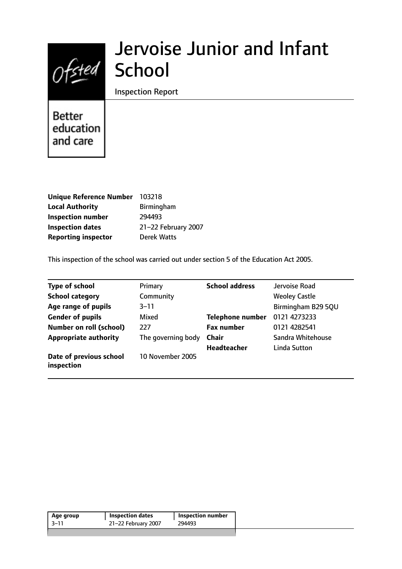

# Jervoise Junior and Infant

Inspection Report

Better education and care

| Unique Reference Number 103218 |                     |
|--------------------------------|---------------------|
| <b>Local Authority</b>         | <b>Birmingham</b>   |
| <b>Inspection number</b>       | 294493              |
| <b>Inspection dates</b>        | 21-22 February 2007 |
| <b>Reporting inspector</b>     | <b>Derek Watts</b>  |

This inspection of the school was carried out under section 5 of the Education Act 2005.

| <b>Type of school</b>                 | Primary            | <b>School address</b>   | Jervoise Road        |
|---------------------------------------|--------------------|-------------------------|----------------------|
| <b>School category</b>                | Community          |                         | <b>Weoley Castle</b> |
| Age range of pupils                   | $3 - 11$           |                         | Birmingham B29 5QU   |
| <b>Gender of pupils</b>               | Mixed              | <b>Telephone number</b> | 0121 4273233         |
| <b>Number on roll (school)</b>        | 227                | <b>Fax number</b>       | 0121 4282541         |
| <b>Appropriate authority</b>          | The governing body | <b>Chair</b>            | Sandra Whitehouse    |
|                                       |                    | <b>Headteacher</b>      | Linda Sutton         |
| Date of previous school<br>inspection | 10 November 2005   |                         |                      |

| 21-22 February 2007<br>-3–11<br>294493 | Age group | <b>Inspection dates</b> | <b>Inspection number</b> |
|----------------------------------------|-----------|-------------------------|--------------------------|
|                                        |           |                         |                          |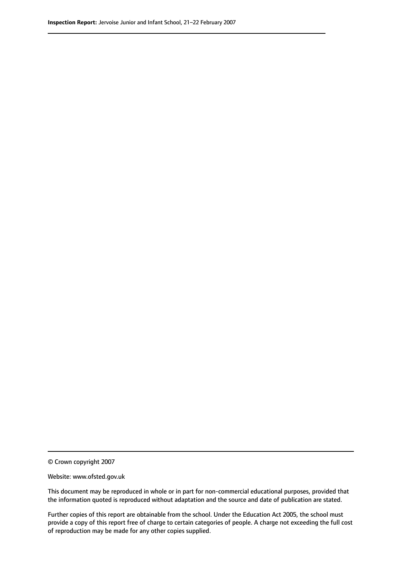© Crown copyright 2007

Website: www.ofsted.gov.uk

This document may be reproduced in whole or in part for non-commercial educational purposes, provided that the information quoted is reproduced without adaptation and the source and date of publication are stated.

Further copies of this report are obtainable from the school. Under the Education Act 2005, the school must provide a copy of this report free of charge to certain categories of people. A charge not exceeding the full cost of reproduction may be made for any other copies supplied.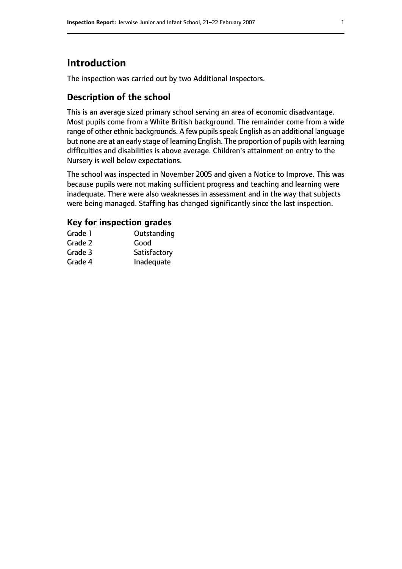# **Introduction**

The inspection was carried out by two Additional Inspectors.

## **Description of the school**

This is an average sized primary school serving an area of economic disadvantage. Most pupils come from a White British background. The remainder come from a wide range of other ethnic backgrounds. A few pupils speak English as an additional language but none are at an early stage of learning English. The proportion of pupils with learning difficulties and disabilities is above average. Children's attainment on entry to the Nursery is well below expectations.

The school was inspected in November 2005 and given a Notice to Improve. This was because pupils were not making sufficient progress and teaching and learning were inadequate. There were also weaknesses in assessment and in the way that subjects were being managed. Staffing has changed significantly since the last inspection.

## **Key for inspection grades**

| Grade 1 | Outstanding  |
|---------|--------------|
| Grade 2 | Good         |
| Grade 3 | Satisfactory |
| Grade 4 | Inadequate   |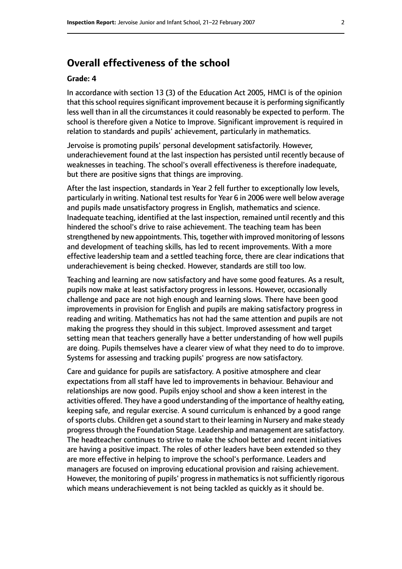# **Overall effectiveness of the school**

#### **Grade: 4**

In accordance with section 13 (3) of the Education Act 2005, HMCI is of the opinion that this school requires significant improvement because it is performing significantly less well than in all the circumstances it could reasonably be expected to perform. The school is therefore given a Notice to Improve. Significant improvement is required in relation to standards and pupils' achievement, particularly in mathematics.

Jervoise is promoting pupils' personal development satisfactorily. However, underachievement found at the last inspection has persisted until recently because of weaknesses in teaching. The school's overall effectiveness is therefore inadequate, but there are positive signs that things are improving.

After the last inspection, standards in Year 2 fell further to exceptionally low levels, particularly in writing. National test results for Year 6 in 2006 were well below average and pupils made unsatisfactory progress in English, mathematics and science. Inadequate teaching, identified at the last inspection, remained until recently and this hindered the school's drive to raise achievement. The teaching team has been strengthened by new appointments. This, together with improved monitoring of lessons and development of teaching skills, has led to recent improvements. With a more effective leadership team and a settled teaching force, there are clear indications that underachievement is being checked. However, standards are still too low.

Teaching and learning are now satisfactory and have some good features. As a result, pupils now make at least satisfactory progress in lessons. However, occasionally challenge and pace are not high enough and learning slows. There have been good improvements in provision for English and pupils are making satisfactory progress in reading and writing. Mathematics has not had the same attention and pupils are not making the progress they should in this subject. Improved assessment and target setting mean that teachers generally have a better understanding of how well pupils are doing. Pupils themselves have a clearer view of what they need to do to improve. Systems for assessing and tracking pupils' progress are now satisfactory.

Care and guidance for pupils are satisfactory. A positive atmosphere and clear expectations from all staff have led to improvements in behaviour. Behaviour and relationships are now good. Pupils enjoy school and show a keen interest in the activities offered. They have a good understanding of the importance of healthy eating, keeping safe, and regular exercise. A sound curriculum is enhanced by a good range of sports clubs. Children get a sound start to their learning in Nursery and make steady progress through the Foundation Stage. Leadership and management are satisfactory. The headteacher continues to strive to make the school better and recent initiatives are having a positive impact. The roles of other leaders have been extended so they are more effective in helping to improve the school's performance. Leaders and managers are focused on improving educational provision and raising achievement. However, the monitoring of pupils' progress in mathematics is not sufficiently rigorous which means underachievement is not being tackled as quickly as it should be.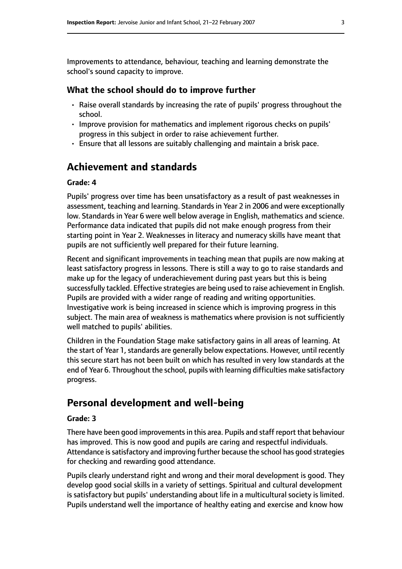Improvements to attendance, behaviour, teaching and learning demonstrate the school's sound capacity to improve.

#### **What the school should do to improve further**

- Raise overall standards by increasing the rate of pupils' progress throughout the school.
- Improve provision for mathematics and implement rigorous checks on pupils' progress in this subject in order to raise achievement further.
- Ensure that all lessons are suitably challenging and maintain a brisk pace.

# **Achievement and standards**

#### **Grade: 4**

Pupils' progress over time has been unsatisfactory as a result of past weaknesses in assessment, teaching and learning. Standards in Year 2 in 2006 and were exceptionally low. Standards in Year 6 were well below average in English, mathematics and science. Performance data indicated that pupils did not make enough progress from their starting point in Year 2. Weaknesses in literacy and numeracy skills have meant that pupils are not sufficiently well prepared for their future learning.

Recent and significant improvements in teaching mean that pupils are now making at least satisfactory progress in lessons. There is still a way to go to raise standards and make up for the legacy of underachievement during past years but this is being successfully tackled. Effective strategies are being used to raise achievement in English. Pupils are provided with a wider range of reading and writing opportunities. Investigative work is being increased in science which is improving progress in this subject. The main area of weakness is mathematics where provision is not sufficiently well matched to pupils' abilities.

Children in the Foundation Stage make satisfactory gains in all areas of learning. At the start of Year 1, standards are generally below expectations. However, until recently this secure start has not been built on which has resulted in very low standards at the end of Year 6. Throughout the school, pupils with learning difficulties make satisfactory progress.

# **Personal development and well-being**

#### **Grade: 3**

There have been good improvements in this area. Pupils and staff report that behaviour has improved. This is now good and pupils are caring and respectful individuals. Attendance is satisfactory and improving further because the school has good strategies for checking and rewarding good attendance.

Pupils clearly understand right and wrong and their moral development is good. They develop good social skills in a variety of settings. Spiritual and cultural development is satisfactory but pupils' understanding about life in a multicultural society is limited. Pupils understand well the importance of healthy eating and exercise and know how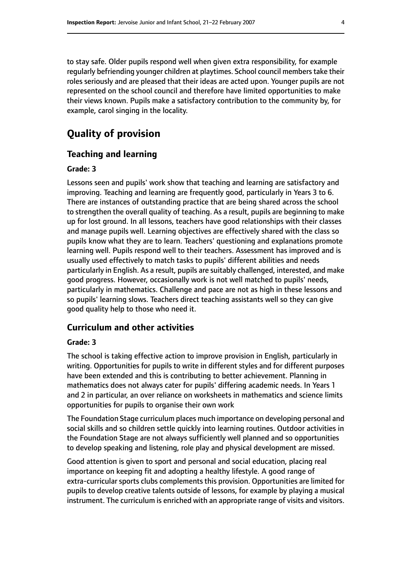to stay safe. Older pupils respond well when given extra responsibility, for example regularly befriending younger children at playtimes. School council memberstake their roles seriously and are pleased that their ideas are acted upon. Younger pupils are not represented on the school council and therefore have limited opportunities to make their views known. Pupils make a satisfactory contribution to the community by, for example, carol singing in the locality.

# **Quality of provision**

#### **Teaching and learning**

#### **Grade: 3**

Lessons seen and pupils' work show that teaching and learning are satisfactory and improving. Teaching and learning are frequently good, particularly in Years 3 to 6. There are instances of outstanding practice that are being shared across the school to strengthen the overall quality of teaching. As a result, pupils are beginning to make up for lost ground. In all lessons, teachers have good relationships with their classes and manage pupils well. Learning objectives are effectively shared with the class so pupils know what they are to learn. Teachers' questioning and explanations promote learning well. Pupils respond well to their teachers. Assessment has improved and is usually used effectively to match tasks to pupils' different abilities and needs particularly in English. As a result, pupils are suitably challenged, interested, and make good progress. However, occasionally work is not well matched to pupils' needs, particularly in mathematics. Challenge and pace are not as high in these lessons and so pupils' learning slows. Teachers direct teaching assistants well so they can give good quality help to those who need it.

#### **Curriculum and other activities**

#### **Grade: 3**

The school is taking effective action to improve provision in English, particularly in writing. Opportunities for pupils to write in different styles and for different purposes have been extended and this is contributing to better achievement. Planning in mathematics does not always cater for pupils' differing academic needs. In Years 1 and 2 in particular, an over reliance on worksheets in mathematics and science limits opportunities for pupils to organise their own work

The Foundation Stage curriculum places much importance on developing personal and social skills and so children settle quickly into learning routines. Outdoor activities in the Foundation Stage are not always sufficiently well planned and so opportunities to develop speaking and listening, role play and physical development are missed.

Good attention is given to sport and personal and social education, placing real importance on keeping fit and adopting a healthy lifestyle. A good range of extra-curricular sports clubs complements this provision. Opportunities are limited for pupils to develop creative talents outside of lessons, for example by playing a musical instrument. The curriculum is enriched with an appropriate range of visits and visitors.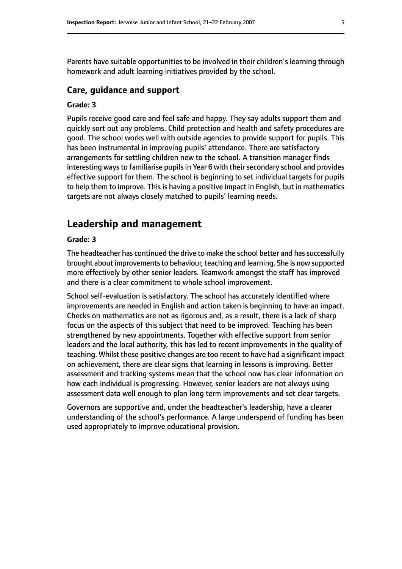Parents have suitable opportunities to be involved in their children's learning through homework and adult learning initiatives provided by the school.

#### **Care, guidance and support**

#### **Grade: 3**

Pupils receive good care and feel safe and happy. They say adults support them and quickly sort out any problems. Child protection and health and safety procedures are good. The school works well with outside agencies to provide support for pupils. This has been instrumental in improving pupils' attendance. There are satisfactory arrangements for settling children new to the school. A transition manager finds interesting ways to familiarise pupils in Year 6 with their secondary school and provides effective support for them. The school is beginning to set individual targets for pupils to help them to improve. This is having a positive impact in English, but in mathematics targets are not always closely matched to pupils' learning needs.

## **Leadership and management**

#### **Grade: 3**

The headteacher has continued the drive to make the school better and has successfully brought about improvementsto behaviour, teaching and learning. She is now supported more effectively by other senior leaders. Teamwork amongst the staff has improved and there is a clear commitment to whole school improvement.

School self-evaluation is satisfactory. The school has accurately identified where improvements are needed in English and action taken is beginning to have an impact. Checks on mathematics are not as rigorous and, as a result, there is a lack of sharp focus on the aspects of this subject that need to be improved. Teaching has been strengthened by new appointments. Together with effective support from senior leaders and the local authority, this has led to recent improvements in the quality of teaching. Whilst these positive changes are too recent to have had a significant impact on achievement, there are clear signs that learning in lessons is improving. Better assessment and tracking systems mean that the school now has clear information on how each individual is progressing. However, senior leaders are not always using assessment data well enough to plan long term improvements and set clear targets.

Governors are supportive and, under the headteacher's leadership, have a clearer understanding of the school's performance. A large underspend of funding has been used appropriately to improve educational provision.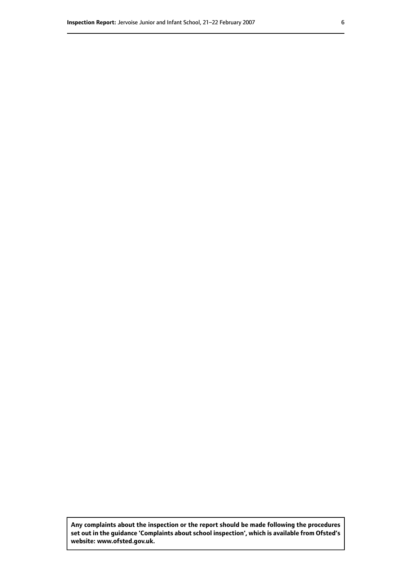**Any complaints about the inspection or the report should be made following the procedures set out inthe guidance 'Complaints about school inspection', whichis available from Ofsted's website: www.ofsted.gov.uk.**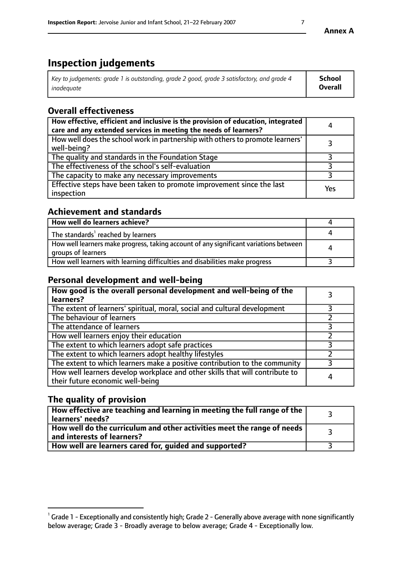# **Inspection judgements**

| Key to judgements: grade 1 is outstanding, grade 2 good, grade 3 satisfactory, and grade 4 | <b>School</b>  |
|--------------------------------------------------------------------------------------------|----------------|
| inadeauate                                                                                 | <b>Overall</b> |

# **Overall effectiveness**

| How effective, efficient and inclusive is the provision of education, integrated<br>care and any extended services in meeting the needs of learners? | 4   |
|------------------------------------------------------------------------------------------------------------------------------------------------------|-----|
| How well does the school work in partnership with others to promote learners'<br>well-being?                                                         |     |
| The quality and standards in the Foundation Stage                                                                                                    |     |
| The effectiveness of the school's self-evaluation                                                                                                    |     |
| The capacity to make any necessary improvements                                                                                                      |     |
| Effective steps have been taken to promote improvement since the last<br>inspection                                                                  | Yes |

## **Achievement and standards**

| How well do learners achieve?                                                                               |   |
|-------------------------------------------------------------------------------------------------------------|---|
| The standards <sup>1</sup> reached by learners                                                              |   |
| How well learners make progress, taking account of any significant variations between<br>groups of learners | л |
| How well learners with learning difficulties and disabilities make progress                                 |   |

## **Personal development and well-being**

| How good is the overall personal development and well-being of the<br>learners?                                  |   |
|------------------------------------------------------------------------------------------------------------------|---|
| The extent of learners' spiritual, moral, social and cultural development                                        |   |
| The behaviour of learners                                                                                        |   |
| The attendance of learners                                                                                       |   |
| How well learners enjoy their education                                                                          |   |
| The extent to which learners adopt safe practices                                                                |   |
| The extent to which learners adopt healthy lifestyles                                                            |   |
| The extent to which learners make a positive contribution to the community                                       |   |
| How well learners develop workplace and other skills that will contribute to<br>their future economic well-being | 4 |

## **The quality of provision**

| $\Box$ How effective are teaching and learning in meeting the full range of the $\Box$<br>  learners' needs?        |  |
|---------------------------------------------------------------------------------------------------------------------|--|
| $\mid$ How well do the curriculum and other activities meet the range of needs<br>$\mid$ and interests of learners? |  |
| How well are learners cared for, guided and supported?                                                              |  |

 $^1$  Grade 1 - Exceptionally and consistently high; Grade 2 - Generally above average with none significantly below average; Grade 3 - Broadly average to below average; Grade 4 - Exceptionally low.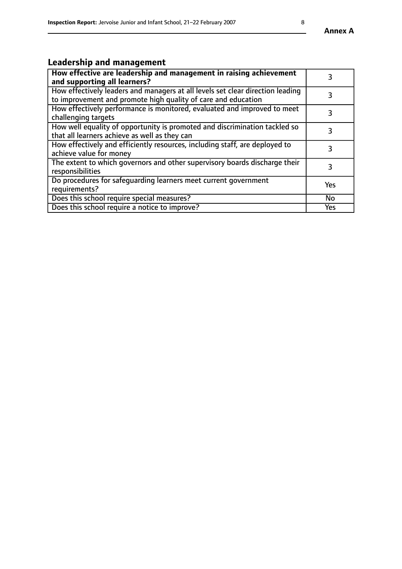# **Leadership and management**

| How effective are leadership and management in raising achievement<br>and supporting all learners?                                              |     |
|-------------------------------------------------------------------------------------------------------------------------------------------------|-----|
| How effectively leaders and managers at all levels set clear direction leading<br>to improvement and promote high quality of care and education |     |
| How effectively performance is monitored, evaluated and improved to meet<br>challenging targets                                                 | 3   |
| How well equality of opportunity is promoted and discrimination tackled so<br>that all learners achieve as well as they can                     | 3   |
| How effectively and efficiently resources, including staff, are deployed to<br>achieve value for money                                          | 3   |
| The extent to which governors and other supervisory boards discharge their<br>responsibilities                                                  | 3   |
| Do procedures for safequarding learners meet current government<br>requirements?                                                                | Yes |
| Does this school require special measures?                                                                                                      | No  |
| Does this school require a notice to improve?                                                                                                   | Yes |